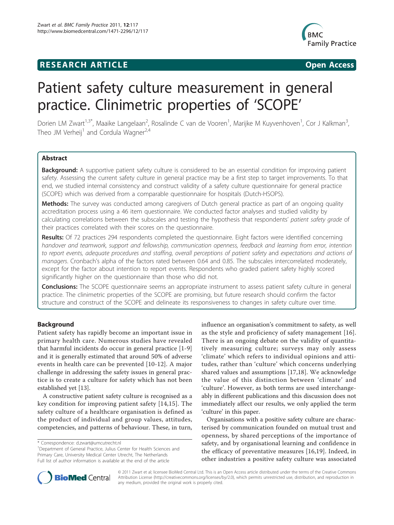# **RESEARCH ARTICLE Example 2018 12:00 Open Access**



# Patient safety culture measurement in general practice. Clinimetric properties of 'SCOPE'

Dorien LM Zwart<sup>1,3\*</sup>, Maaike Langelaan<sup>2</sup>, Rosalinde C van de Vooren<sup>1</sup>, Marijke M Kuyvenhoven<sup>1</sup>, Cor J Kalkman<sup>3</sup> , Theo JM Verheij<sup>1</sup> and Cordula Wagner<sup>2,4</sup>

# Abstract

Background: A supportive patient safety culture is considered to be an essential condition for improving patient safety. Assessing the current safety culture in general practice may be a first step to target improvements. To that end, we studied internal consistency and construct validity of a safety culture questionnaire for general practice (SCOPE) which was derived from a comparable questionnaire for hospitals (Dutch-HSOPS).

Methods: The survey was conducted among caregivers of Dutch general practice as part of an ongoing quality accreditation process using a 46 item questionnaire. We conducted factor analyses and studied validity by calculating correlations between the subscales and testing the hypothesis that respondents' patient safety grade of their practices correlated with their scores on the questionnaire.

Results: Of 72 practices 294 respondents completed the questionnaire. Eight factors were identified concerning handover and teamwork, support and fellowship, communication openness, feedback and learning from error, intention to report events, adequate procedures and staffing, overall perceptions of patient safety and expectations and actions of managers. Cronbach's alpha of the factors rated between 0.64 and 0.85. The subscales intercorrelated moderately, except for the factor about intention to report events. Respondents who graded patient safety highly scored significantly higher on the questionnaire than those who did not.

**Conclusions:** The SCOPE questionnaire seems an appropriate instrument to assess patient safety culture in general practice. The clinimetric properties of the SCOPE are promising, but future research should confirm the factor structure and construct of the SCOPE and delineate its responsiveness to changes in safety culture over time.

# Background

Patient safety has rapidly become an important issue in primary health care. Numerous studies have revealed that harmful incidents do occur in general practice [[1-9](#page-5-0)] and it is generally estimated that around 50% of adverse events in health care can be prevented [[10](#page-5-0)-[12\]](#page-5-0). A major challenge in addressing the safety issues in general practice is to create a culture for safety which has not been established yet [[13](#page-5-0)].

A constructive patient safety culture is recognised as a key condition for improving patient safety [[14,15](#page-5-0)]. The safety culture of a healthcare organisation is defined as the product of individual and group values, attitudes, competencies, and patterns of behaviour. These, in turn,

influence an organisation's commitment to safety, as well as the style and proficiency of safety management [[16](#page-5-0)]. There is an ongoing debate on the validity of quantitatively measuring culture; surveys may only assess 'climate' which refers to individual opinions and attitudes, rather than 'culture' which concerns underlying shared values and assumptions [\[17,18](#page-5-0)]. We acknowledge the value of this distinction between 'climate' and 'culture'. However, as both terms are used interchangeably in different publications and this discussion does not immediately affect our results, we only applied the term 'culture' in this paper.

Organisations with a positive safety culture are characterised by communication founded on mutual trust and openness, by shared perceptions of the importance of safety, and by organisational learning and confidence in the efficacy of preventative measures [[16,19](#page-5-0)]. Indeed, in other industries a positive safety culture was associated



© 2011 Zwart et al; licensee BioMed Central Ltd. This is an Open Access article distributed under the terms of the Creative Commons Attribution License [\(http://creativecommons.org/licenses/by/2.0](http://creativecommons.org/licenses/by/2.0)), which permits unrestricted use, distribution, and reproduction in any medium, provided the original work is properly cited.

<sup>\*</sup> Correspondence: [d.zwart@umcutrecht.nl](mailto:d.zwart@umcutrecht.nl)

<sup>&</sup>lt;sup>1</sup>Department of General Practice, Julius Center for Health Sciences and Primary Care, University Medical Center Utrecht, The Netherlands Full list of author information is available at the end of the article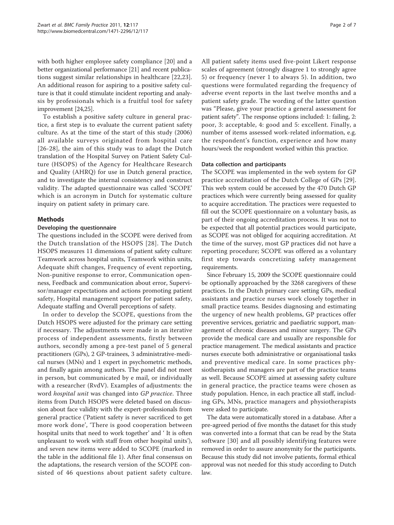with both higher employee safety compliance [[20\]](#page-5-0) and a better organizational performance [[21](#page-5-0)] and recent publications suggest similar relationships in healthcare [[22,23](#page-5-0)]. An additional reason for aspiring to a positive safety culture is that it could stimulate incident reporting and analysis by professionals which is a fruitful tool for safety improvement [\[24](#page-5-0),[25](#page-5-0)].

To establish a positive safety culture in general practice, a first step is to evaluate the current patient safety culture. As at the time of the start of this study (2006) all available surveys originated from hospital care [[26](#page-5-0)-[28\]](#page-5-0), the aim of this study was to adapt the Dutch translation of the Hospital Survey on Patient Safety Culture (HSOPS) of the Agency for Healthcare Research and Quality (AHRQ) for use in Dutch general practice, and to investigate the internal consistency and construct validity. The adapted questionnaire was called 'SCOPE' which is an acronym in Dutch for systematic culture inquiry on patient safety in primary care.

# Methods

#### Developing the questionnaire

The questions included in the SCOPE were derived from the Dutch translation of the HSOPS [\[28\]](#page-5-0). The Dutch HSOPS measures 11 dimensions of patient safety culture: Teamwork across hospital units, Teamwork within units, Adequate shift changes, Frequency of event reporting, Non-punitive response to error, Communication openness, Feedback and communication about error, Supervisor/manager expectations and actions promoting patient safety, Hospital management support for patient safety, Adequate staffing and Overall perceptions of safety.

In order to develop the SCOPE, questions from the Dutch HSOPS were adjusted for the primary care setting if necessary. The adjustments were made in an iterative process of independent assessments, firstly between authors, secondly among a pre-test panel of 5 general practitioners (GPs), 2 GP-trainees, 3 administrative-medical nurses (MNs) and 1 expert in psychometric methods, and finally again among authors. The panel did not meet in person, but communicated by e mail, or individually with a researcher (RvdV). Examples of adjustments: the word *hospital unit* was changed into GP practice. Three items from Dutch HSOPS were deleted based on discussion about face validity with the expert-professionals from general practice ('Patient safety is never sacrificed to get more work done', 'There is good cooperation between hospital units that need to work together' and ' It is often unpleasant to work with staff from other hospital units'), and seven new items were added to SCOPE (marked in the table in the additional file [1\)](#page-5-0). After final consensus on the adaptations, the research version of the SCOPE consisted of 46 questions about patient safety culture. All patient safety items used five-point Likert response scales of agreement (strongly disagree 1 to strongly agree 5) or frequency (never 1 to always 5). In addition, two questions were formulated regarding the frequency of adverse event reports in the last twelve months and a patient safety grade. The wording of the latter question was "Please, give your practice a general assessment for patient safety". The response options included: 1: failing, 2: poor, 3: acceptable, 4: good and 5: excellent. Finally, a number of items assessed work-related information, e.g. the respondent's function, experience and how many hours/week the respondent worked within this practice.

#### Data collection and participants

The SCOPE was implemented in the web system for GP practice accreditation of the Dutch College of GPs [[29](#page-5-0)]. This web system could be accessed by the 470 Dutch GP practices which were currently being assessed for quality to acquire accreditation. The practices were requested to fill out the SCOPE questionnaire on a voluntary basis, as part of their ongoing accreditation process. It was not to be expected that all potential practices would participate, as SCOPE was not obliged for acquiring accreditation. At the time of the survey, most GP practices did not have a reporting procedure; SCOPE was offered as a voluntary first step towards concretizing safety management requirements.

Since February 15, 2009 the SCOPE questionnaire could be optionally approached by the 3268 caregivers of these practices. In the Dutch primary care setting GPs, medical assistants and practice nurses work closely together in small practice teams. Besides diagnosing and estimating the urgency of new health problems, GP practices offer preventive services, geriatric and paediatric support, management of chronic diseases and minor surgery. The GPs provide the medical care and usually are responsible for practice management. The medical assistants and practice nurses execute both administrative or organisational tasks and preventive medical care. In some practices physiotherapists and managers are part of the practice teams as well. Because SCOPE aimed at assessing safety culture in general practice, the practice teams were chosen as study population. Hence, in each practice all staff, including GPs, MNs, practice managers and physiotherapists were asked to participate.

The data were automatically stored in a database. After a pre-agreed period of five months the dataset for this study was converted into a format that can be read by the Stata software [[30](#page-5-0)] and all possibly identifying features were removed in order to assure anonymity for the participants. Because this study did not involve patients, formal ethical approval was not needed for this study according to Dutch law.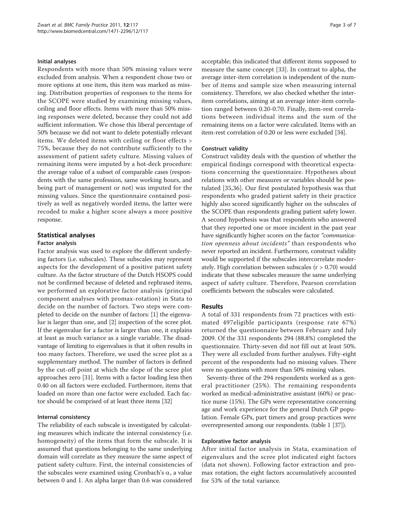#### Initial analyses

Respondents with more than 50% missing values were excluded from analysis. When a respondent chose two or more options at one item, this item was marked as missing. Distribution properties of responses to the items for the SCOPE were studied by examining missing values, ceiling and floor effects. Items with more than 50% missing responses were deleted, because they could not add sufficient information. We chose this liberal percentage of 50% because we did not want to delete potentially relevant items. We deleted items with ceiling or floor effects > 75%, because they do not contribute sufficiently to the assessment of patient safety culture. Missing values of remaining items were imputed by a hot-deck procedure: the average value of a subset of comparable cases (respondents with the same profession, same working hours, and being part of management or not) was imputed for the missing values. Since the questionnaire contained positively as well as negatively worded items, the latter were recoded to make a higher score always a more positive response.

# Statistical analyses

#### Factor analysis

Factor analysis was used to explore the different underlying factors (i.e. subscales). These subscales may represent aspects for the development of a positive patient safety culture. As the factor structure of the Dutch HSOPS could not be confirmed because of deleted and rephrased items, we performed an explorative factor analysis (principal component analyses with promax-rotation) in Stata to decide on the number of factors. Two steps were completed to decide on the number of factors: [\[1](#page-5-0)] the eigenvalue is larger than one, and [\[2\]](#page-5-0) inspection of the scree plot. If the eigenvalue for a factor is larger than one, it explains at least as much variance as a single variable. The disadvantage of limiting to eigenvalues is that it often results in too many factors. Therefore, we used the scree plot as a supplementary method. The number of factors is defined by the cut-off point at which the slope of the scree plot approaches zero [\[31](#page-5-0)]. Items with a factor loading less then 0.40 on all factors were excluded. Furthermore, items that loaded on more than one factor were excluded. Each factor should be comprised of at least three items [[32](#page-5-0)]

# Internal consistency

The reliability of each subscale is investigated by calculating measures which indicate the internal consistency (i.e. homogeneity) of the items that form the subscale. It is assumed that questions belonging to the same underlying domain will correlate as they measure the same aspect of patient safety culture. First, the internal consistencies of the subscales were examined using Cronbach's  $\alpha$ , a value between 0 and 1. An alpha larger than 0.6 was considered

acceptable; this indicated that different items supposed to measure the same concept [[33](#page-5-0)]. In contrast to alpha, the average inter-item correlation is independent of the number of items and sample size when measuring internal consistency. Therefore, we also checked whether the interitem correlations, aiming at an average inter-item correlation ranged between 0.20-0.70. Finally, item-rest correlations between individual items and the sum of the remaining items on a factor were calculated. Items with an item-rest correlation of 0.20 or less were excluded [\[34](#page-5-0)].

#### Construct validity

Construct validity deals with the question of whether the empirical findings correspond with theoretical expectations concerning the questionnaire. Hypotheses about relations with other measures or variables should be postulated [[35,36](#page-6-0)]. Our first postulated hypothesis was that respondents who graded patient safety in their practice highly also scored significantly higher on the subscales of the SCOPE than respondents grading patient safety lower. A second hypothesis was that respondents who answered that they reported one or more incident in the past year have significantly higher scores on the factor "*communica*tion openness about incidents" than respondents who never reported an incident. Furthermore, construct validity would be supported if the subscales intercorrelate moderately. High correlation between subscales  $(r > 0.70)$  would indicate that these subscales measure the same underlying aspect of safety culture. Therefore, Pearson correlation coefficients between the subscales were calculated.

# Results

A total of 331 respondents from 72 practices with estimated 497eligible participants (response rate 67%) returned the questionnaire between February and July 2009. Of the 331 respondents 294 (88.8%) completed the questionnaire. Thirty-seven did not fill out at least 50%. They were all excluded from further analyses. Fifty-eight percent of the respondents had no missing values. There were no questions with more than 50% missing values.

Seventy-three of the 294 respondents worked as a general practitioner (25%). The remaining respondents worked as medical-administrative assistant (60%) or practice nurse (15%). The GPs were representative concerning age and work experience for the general Dutch GP population. Female GPs, part timers and group practices were overrepresented among our respondents. (table [1](#page-3-0) [[37](#page-6-0)]).

#### Explorative factor analysis

After initial factor analysis in Stata, examination of eigenvalues and the scree plot indicated eight factors (data not shown). Following factor extraction and promax rotation, the eight factors accumulatively accounted for 53% of the total variance.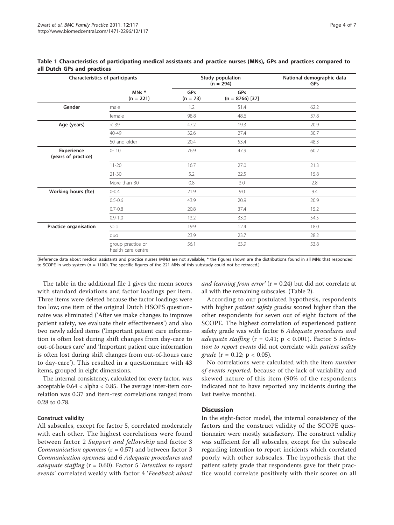|                                   | Characteristics of participants         |                   | Study population<br>$(n = 294)$ | National demographic data<br>GPs |  |  |  |
|-----------------------------------|-----------------------------------------|-------------------|---------------------------------|----------------------------------|--|--|--|
|                                   | MNs *<br>$(n = 221)$                    | GPs<br>$(n = 73)$ | GPs<br>$(n = 8766)$ [37]        |                                  |  |  |  |
| Gender                            | male                                    | 1.2               | 51.4                            | 62.2                             |  |  |  |
|                                   | female                                  | 98.8              | 48.6                            | 37.8                             |  |  |  |
| Age (years)                       | < 39                                    | 47.2              | 19.3                            | 20.9                             |  |  |  |
|                                   | 40-49                                   | 32.6              | 27.4                            | 30.7                             |  |  |  |
|                                   | 50 and older                            | 20.4              | 53.4                            | 48.3                             |  |  |  |
| Experience<br>(years of practice) | $0 - 10$                                | 76.9              | 47.9                            | 60.2                             |  |  |  |
|                                   | $11 - 20$                               | 16.7              | 27.0                            | 21.3                             |  |  |  |
|                                   | $21 - 30$                               | 5.2               | 22.5                            | 15.8                             |  |  |  |
|                                   | More than 30                            | 0.8               | 3.0                             | 2.8                              |  |  |  |
| Working hours (fte)               | $0 - 0.4$                               | 21.9              | 9.0                             | 9.4                              |  |  |  |
|                                   | $0.5 - 0.6$                             | 43.9              | 20.9                            | 20.9                             |  |  |  |
|                                   | $0.7 - 0.8$                             | 20.8              | 37.4                            | 15.2                             |  |  |  |
|                                   | $0.9 - 1.0$                             | 13.2              | 33.0                            | 54.5                             |  |  |  |
| Practice organisation             | solo                                    | 19.9              | 12.4                            | 18.0                             |  |  |  |
|                                   | duo                                     | 23.9              | 23.7                            | 28.2                             |  |  |  |
|                                   | group practice or<br>health care centre | 56.1              | 63.9                            | 53.8                             |  |  |  |

#### <span id="page-3-0"></span>Table 1 Characteristics of participating medical assistants and practice nurses (MNs), GPs and practices compared to all Dutch GPs and practices

(Reference data about medical assistants and practice nurses (MNs) are not available; \* the figures shown are the distributions found in all MNs that responded to SCOPE in web system (n = 1100). The specific figures of the 221 MNs of this substudy could not be retraced.)

The table in the additional file [1](#page-5-0) gives the mean scores with standard deviations and factor loadings per item. Three items were deleted because the factor loadings were too low; one item of the original Dutch HSOPS questionnaire was eliminated ('After we make changes to improve patient safety, we evaluate their effectiveness') and also two newly added items ('Important patient care information is often lost during shift changes from day-care to out-of-hours care' and 'Important patient care information is often lost during shift changes from out-of-hours care to day-care'). This resulted in a questionnaire with 43 items, grouped in eight dimensions.

The internal consistency, calculated for every factor, was acceptable 0.64 < alpha < 0.85. The average inter-item correlation was 0.37 and item-rest correlations ranged from 0.28 to 0.78.

# Construct validity

All subscales, except for factor 5, correlated moderately with each other. The highest correlations were found between factor 2 Support and fellowship and factor 3 Communication openness ( $r = 0.57$ ) and between factor 3 Communication openness and 6 Adequate procedures and adequate staffing  $(r = 0.60)$ . Factor 5 'Intention to report events' correlated weakly with factor 4 'Feedback about and learning from error' ( $r = 0.24$ ) but did not correlate at all with the remaining subscales. (Table [2](#page-4-0)).

According to our postulated hypothesis, respondents with higher *patient safety grades* scored higher than the other respondents for seven out of eight factors of the SCOPE. The highest correlation of experienced patient safety grade was with factor 6 Adequate procedures and adequate staffing  $(r = 0.41; p < 0.001)$ . Factor 5 Intention to report events did not correlate with patient safety grade (r = 0.12; p < 0.05).

No correlations were calculated with the item number of events reported, because of the lack of variability and skewed nature of this item (90% of the respondents indicated not to have reported any incidents during the last twelve months).

#### **Discussion**

In the eight-factor model, the internal consistency of the factors and the construct validity of the SCOPE questionnaire were mostly satisfactory. The construct validity was sufficient for all subscales, except for the subscale regarding intention to report incidents which correlated poorly with other subscales. The hypothesis that the patient safety grade that respondents gave for their practice would correlate positively with their scores on all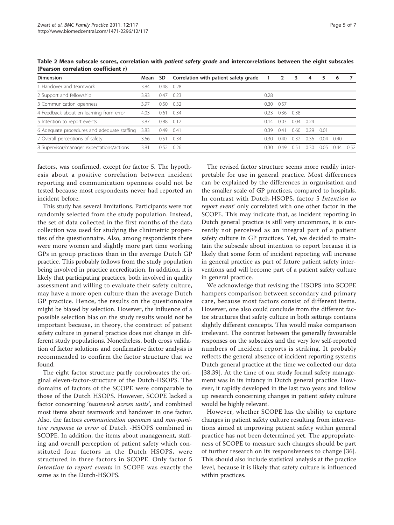| \: www.son.com/www.son.com/www.it |      |         |                                                                                   |                                       |                        |                                 |             |      |  |  |  |  |  |
|-----------------------------------|------|---------|-----------------------------------------------------------------------------------|---------------------------------------|------------------------|---------------------------------|-------------|------|--|--|--|--|--|
|                                   |      |         |                                                                                   |                                       | 3                      | 4                               | 5           | 6    |  |  |  |  |  |
| 3.84                              |      |         |                                                                                   |                                       |                        |                                 |             |      |  |  |  |  |  |
| 3.93                              |      |         | 0.28                                                                              |                                       |                        |                                 |             |      |  |  |  |  |  |
| 3.97                              |      |         | 0.30                                                                              |                                       |                        |                                 |             |      |  |  |  |  |  |
| 4.03                              | 0.61 |         | 0.23                                                                              | 0.36                                  |                        |                                 |             |      |  |  |  |  |  |
| 3.87                              |      |         | 0.14                                                                              | 0.03                                  |                        |                                 |             |      |  |  |  |  |  |
| 3.83                              |      |         | 0.39                                                                              | 0.41                                  | 0.60                   | 0.29                            | 0.01        |      |  |  |  |  |  |
| 3.66                              | D 51 | 0.34    | 0.30                                                                              | (0.40)                                | 0.32                   | 0.36.                           | 0.04        | 0.40 |  |  |  |  |  |
|                                   |      | Mean SD | 0.48 0.28<br>$0.47$ 0.23<br>$0.50$ $0.32$<br>0.34<br>$0.88$ $0.12$<br>$0.49$ 0.41 | Correlation with patient safety grade | $\overline{1}$<br>0.57 | $\overline{\mathbf{2}}$<br>0.38 | $0.04$ 0.24 |      |  |  |  |  |  |

8 Supervisor/manager expectations/actions 3.81 0.52 0.26 0.30 0.49 0.51 0.30 0.05 0.44 0.52

<span id="page-4-0"></span>Table 2 Mean subscale scores, correlation with patient safety grade and intercorrelations between the eight subscales (Pearson correlation coefficient r)

factors, was confirmed, except for factor 5. The hypothesis about a positive correlation between incident reporting and communication openness could not be tested because most respondents never had reported an incident before.

This study has several limitations. Participants were not randomly selected from the study population. Instead, the set of data collected in the first months of the data collection was used for studying the clinimetric properties of the questionnaire. Also, among respondents there were more women and slightly more part time working GPs in group practices than in the average Dutch GP practice. This probably follows from the study population being involved in practice accreditation. In addition, it is likely that participating practices, both involved in quality assessment and willing to evaluate their safety culture, may have a more open culture than the average Dutch GP practice. Hence, the results on the questionnaire might be biased by selection. However, the influence of a possible selection bias on the study results would not be important because, in theory, the construct of patient safety culture in general practice does not change in different study populations. Nonetheless, both cross validation of factor solutions and confirmative factor analysis is recommended to confirm the factor structure that we found.

The eight factor structure partly corroborates the original eleven-factor-structure of the Dutch-HSOPS. The domains of factors of the SCOPE were comparable to those of the Dutch HSOPS. However, SCOPE lacked a factor concerning 'teamwork across units', and combined most items about teamwork and handover in one factor. Also, the factors communication openness and non-punitive response to error of Dutch -HSOPS combined in SCOPE. In addition, the items about management, staffing and overall perception of patient safety which constituted four factors in the Dutch HSOPS, were structured in three factors in SCOPE. Only factor 5 Intention to report events in SCOPE was exactly the same as in the Dutch-HSOPS.

The revised factor structure seems more readily interpretable for use in general practice. Most differences can be explained by the differences in organisation and the smaller scale of GP practices, compared to hospitals. In contrast with Dutch-HSOPS, factor 5 Intention to report event' only correlated with one other factor in the SCOPE. This may indicate that, as incident reporting in Dutch general practice is still very uncommon, it is currently not perceived as an integral part of a patient safety culture in GP practices. Yet, we decided to maintain the subscale about intention to report because it is likely that some form of incident reporting will increase in general practice as part of future patient safety interventions and will become part of a patient safety culture in general practice.

We acknowledge that revising the HSOPS into SCOPE hampers comparison between secondary and primary care, because most factors consist of different items. However, one also could conclude from the different factor structures that safety culture in both settings contains slightly different concepts. This would make comparison irrelevant. The contrast between the generally favourable responses on the subscales and the very low self-reported numbers of incident reports is striking. It probably reflects the general absence of incident reporting systems Dutch general practice at the time we collected our data [[38,39\]](#page-6-0). At the time of our study formal safety management was in its infancy in Dutch general practice. However, it rapidly developed in the last two years and follow up research concerning changes in patient safety culture would be highly relevant.

However, whether SCOPE has the ability to capture changes in patient safety culture resulting from interventions aimed at improving patient safety within general practice has not been determined yet. The appropriateness of SCOPE to measure such changes should be part of further research on its responsiveness to change [\[36](#page-6-0)]. This should also include statistical analysis at the practice level, because it is likely that safety culture is influenced within practices.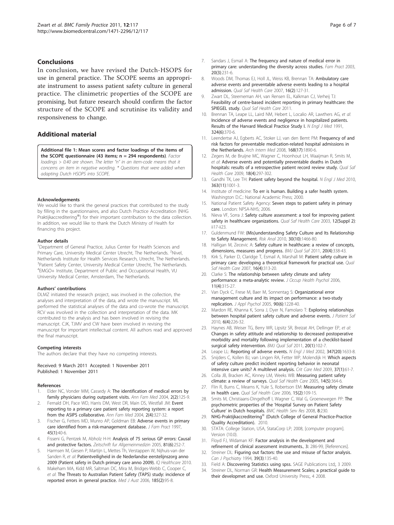#### <span id="page-5-0"></span>Conclusions

In conclusion, we have revised the Dutch-HSOPS for use in general practice. The SCOPE seems an appropriate instrument to assess patient safety culture in general practice. The clinimetric properties of the SCOPE are promising, but future research should confirm the factor structure of the SCOPE and scrutinise its validity and responsiveness to change.

# Additional material

[Additional file 1: M](http://www.biomedcentral.com/content/supplementary/1471-2296-12-117-S1.DOC)ean scores and factor loadings of the items of the SCOPE questionnaire (43 items;  $n = 294$  respondents). Factor loadings > 0.40 are shown. The letter "n" in an item-code means that it concerns an item in negative wording. \* Questions that were added when adapting Dutch HSOPS into SCOPE.

#### Acknowledgements

We would like to thank the general practices that contributed to the study by filling in the questionnaires, and also Dutch Practice Accreditation (NHG Praktijkaccreditering<sup>®</sup>) for their important contribution to the data collection. In addition, we would like to thank the Dutch Ministry of Health for financing this project.

#### Author details

<sup>1</sup>Department of General Practice, Julius Center for Health Sciences and Primary Care, University Medical Center Utrecht, The Netherlands. <sup>2</sup>Nivel, Netherlands Institute for Health Services Research, Utrecht, The Netherlands. <sup>3</sup>Patient Safety Center, University Medical Center Utrecht, The Netherlands. 4 EMGO+ Institute, Department of Public and Occupational Health, VU University Medical Center, Amsterdam, The Netherlands.

#### Authors' contributions

DLMZ initiated the research project, was involved in the collection, the analyses and interpretation of the data, and wrote the manuscript. ML performed the statistical analyses of the data and co-wrote the manuscript. RCV was involved in the collection and interpretation of the data. MK contributed to the analysis and has been involved in revising the manuscript. CJK, TJMV and CW have been involved in revising the manuscript for important intellectual content. All authors read and approved the final manuscript.

#### Competing interests

The authors declare that they have no competing interests.

Received: 9 March 2011 Accepted: 1 November 2011 Published: 1 November 2011

#### References

- Elder NC, Vonder MM, Cassedy A: [The identification of medical errors by](http://www.ncbi.nlm.nih.gov/pubmed/15083851?dopt=Abstract) [family physicians during outpatient visits.](http://www.ncbi.nlm.nih.gov/pubmed/15083851?dopt=Abstract) Ann Fam Med 2004, 2(2):125-9.
- 2. Fernald DH, Pace WD, Harris DM, West DR, Main DS, Westfall JM: [Event](http://www.ncbi.nlm.nih.gov/pubmed/15335131?dopt=Abstract) [reporting to a primary care patient safety reporting system: a report](http://www.ncbi.nlm.nih.gov/pubmed/15335131?dopt=Abstract) [from the ASIPS collaborative.](http://www.ncbi.nlm.nih.gov/pubmed/15335131?dopt=Abstract) Ann Fam Med 2004, 2(4):327-32.
- 3. Fischer G, Fetters MD, Munro AP, Goldman EB: [Adverse events in primary](http://www.ncbi.nlm.nih.gov/pubmed/9228913?dopt=Abstract) [care identified from a risk-management database.](http://www.ncbi.nlm.nih.gov/pubmed/9228913?dopt=Abstract) J Fam Pract 1997, 45(1):40-6.
- Fisseni G, Pentzek M, Abholz H-H: Analysis of 75 serious GP errors: Causal and protective factors. Zeitschrift fur Allgemeinmedizin 2005, 81(6):252-7.
- 5. Harmsen M, Giesen P, Martijn L, Mettes Th, Verstappen W, Nijhuis-van der Sanden R, et al: Patientveiligheid in de Nederlandse eerstelijnszorg anno 2009 (Patient safety in Dutch primary care anno 2009). IO Healthcare 2010.
- 6. Makeham MA, Kidd MR, Saltman DC, Mira M, Bridges-Webb C, Cooper C, et al: [The Threats to Australian Patient Safety \(TAPS\) study: incidence of](http://www.ncbi.nlm.nih.gov/pubmed/16842067?dopt=Abstract) [reported errors in general practice.](http://www.ncbi.nlm.nih.gov/pubmed/16842067?dopt=Abstract) Med J Aust 2006, 185(2):95-8.
- 7. Sandars J, Esmail A: [The frequency and nature of medical error in](http://www.ncbi.nlm.nih.gov/pubmed/12738689?dopt=Abstract) [primary care: understanding the diversity across studies.](http://www.ncbi.nlm.nih.gov/pubmed/12738689?dopt=Abstract) Fam Pract 2003, 20(3):231-6.
- 8. Woods DM, Thomas EJ, Holl JL, Weiss KB, Brennan TA: [Ambulatory care](http://www.ncbi.nlm.nih.gov/pubmed/17403759?dopt=Abstract) [adverse events and preventable adverse events leading to a hospital](http://www.ncbi.nlm.nih.gov/pubmed/17403759?dopt=Abstract) [admission.](http://www.ncbi.nlm.nih.gov/pubmed/17403759?dopt=Abstract) Qual Saf Health Care 2007, 16(2):127-31.
- Zwart DL, Steerneman AH, van Rensen EL, Kalkman CJ, Verheij TJ: Feasibility of centre-based incident reporting in primary healthcare: the SPIEGEL study. Qual Saf Health Care 2011.
- 10. Brennan TA, Leape LL, Laird NM, Hebert L, Localio AR, Lawthers AG, et al: [Incidence of adverse events and negligence in hospitalized patients.](http://www.ncbi.nlm.nih.gov/pubmed/1987460?dopt=Abstract) [Results of the Harvard Medical Practice Study I.](http://www.ncbi.nlm.nih.gov/pubmed/1987460?dopt=Abstract) N Engl J Med 1991, 324(6):370-6.
- 11. Leendertse AJ, Egberts AC, Stoker LJ, van den Bemt PM: [Frequency of and](http://www.ncbi.nlm.nih.gov/pubmed/18809816?dopt=Abstract) [risk factors for preventable medication-related hospital admissions in](http://www.ncbi.nlm.nih.gov/pubmed/18809816?dopt=Abstract) [the Netherlands.](http://www.ncbi.nlm.nih.gov/pubmed/18809816?dopt=Abstract) Arch Intern Med 2008, 168(17):1890-6.
- 12. Zegers M, de Bruijne MC, Wagner C, Hoonhout LH, Waaijman R, Smits M, et al: [Adverse events and potentially preventable deaths in Dutch](http://www.ncbi.nlm.nih.gov/pubmed/19651935?dopt=Abstract) [hospitals: results of a retrospective patient record review study.](http://www.ncbi.nlm.nih.gov/pubmed/19651935?dopt=Abstract) Qual Saf Health Care 2009, 18(4):297-302.
- 13. Gandhi TK, Lee TH: [Patient safety beyond the hospital.](http://www.ncbi.nlm.nih.gov/pubmed/20825311?dopt=Abstract) N Engl J Med 2010, 363(11):1001-3.
- 14. Institute of medicine: To err is human. Building a safer health system. Washington D.C.: National Academic Press; 2000.
- 15. National Patient Safety Agency: Seven steps to patient safety in primary care. London: NPSA-NHS; 2006.
- 16. Nieva VF, Sorra J: [Safety culture assessment: a tool for improving patient](http://www.ncbi.nlm.nih.gov/pubmed/14645891?dopt=Abstract) [safety in healthcare organizations.](http://www.ncbi.nlm.nih.gov/pubmed/14645891?dopt=Abstract) Qual Saf Health Care 2003, 12(Suppl 2): ii17-ii23.
- 17. Guldenmund FW: [\(Mis\)understanding Safety Culture and Its Relationship](http://www.ncbi.nlm.nih.gov/pubmed/20626685?dopt=Abstract) [to Safety Management.](http://www.ncbi.nlm.nih.gov/pubmed/20626685?dopt=Abstract) Risk Anal 2010, 30(10):1466-80.
- 18. Halligan M, Zecevic A: [Safety culture in healthcare: a review of concepts,](http://www.ncbi.nlm.nih.gov/pubmed/21303770?dopt=Abstract) [dimensions, measures and progress.](http://www.ncbi.nlm.nih.gov/pubmed/21303770?dopt=Abstract) BMJ Qual Saf 2011, 20(4):338-43.
- 19. Kirk S, Parker D, Claridge T, Esmail A, Marshall M: [Patient safety culture in](http://www.ncbi.nlm.nih.gov/pubmed/17693682?dopt=Abstract) [primary care: developing a theoretical framework for practical use.](http://www.ncbi.nlm.nih.gov/pubmed/17693682?dopt=Abstract) Qual Saf Health Care 2007, 16(4):313-20.
- 20. Clarke S: [The relationship between safety climate and safety](http://www.ncbi.nlm.nih.gov/pubmed/17059296?dopt=Abstract) [performance: a meta-analytic review.](http://www.ncbi.nlm.nih.gov/pubmed/17059296?dopt=Abstract) J Occup Health Psychol 2006, 11(4):315-27.
- 21. Van Dyck C, Frese M, Baer M, Sonnentag S: [Organizational error](http://www.ncbi.nlm.nih.gov/pubmed/16316276?dopt=Abstract) [management culture and its impact on performance: a two-study](http://www.ncbi.nlm.nih.gov/pubmed/16316276?dopt=Abstract) [replication.](http://www.ncbi.nlm.nih.gov/pubmed/16316276?dopt=Abstract) J Appl Psychol 2005, 90(6):1228-40.
- 22. Mardon RE, Khanna K, Sorra J, Dyer N, Famolaro T: [Exploring relationships](http://www.ncbi.nlm.nih.gov/pubmed/21099551?dopt=Abstract) [between hospital patient safety culture and adverse events.](http://www.ncbi.nlm.nih.gov/pubmed/21099551?dopt=Abstract) J Patient Saf 2010, 6(4):226-32.
- 23. Haynes AB, Weiser TG, Berry WR, Lipsitz SR, Breizat AH, Dellinger EP, et al: [Changes in safety attitude and relationship to decreased postoperative](http://www.ncbi.nlm.nih.gov/pubmed/21228082?dopt=Abstract) [morbidity and mortality following implementation of a checklist-based](http://www.ncbi.nlm.nih.gov/pubmed/21228082?dopt=Abstract) [surgical safety intervention.](http://www.ncbi.nlm.nih.gov/pubmed/21228082?dopt=Abstract) BMJ Qual Saf 2011, 20(1):102-7.
- 24. Leape LL: [Reporting of adverse events.](http://www.ncbi.nlm.nih.gov/pubmed/12432059?dopt=Abstract) N Engl J Med 2002, 347(20):1633-8.
- 25. Snijders C, Kollen BJ, van Lingen RA, Fetter WP, Molendijk H: [Which aspects](http://www.ncbi.nlm.nih.gov/pubmed/19050606?dopt=Abstract) [of safety culture predict incident reporting behavior in neonatal](http://www.ncbi.nlm.nih.gov/pubmed/19050606?dopt=Abstract) [intensive care units? A multilevel analysis.](http://www.ncbi.nlm.nih.gov/pubmed/19050606?dopt=Abstract) Crit Care Med 2009, 37(1):61-7.
- 26. Colla JB, Bracken AC, Kinney LM, Weeks WB: [Measuring patient safety](http://www.ncbi.nlm.nih.gov/pubmed/16195571?dopt=Abstract) [climate: a review of surveys.](http://www.ncbi.nlm.nih.gov/pubmed/16195571?dopt=Abstract) Qual Saf Health Care 2005, 14(5):364-6.
- 27. Flin R, Burns C, Mearns K, Yule S, Robertson EM: [Measuring safety climate](http://www.ncbi.nlm.nih.gov/pubmed/16585110?dopt=Abstract) [in health care.](http://www.ncbi.nlm.nih.gov/pubmed/16585110?dopt=Abstract) Qual Saf Health Care 2006, 15(2):109-15.
- Smits M, Christiaans-Dingelhoff I, Wagner C, Wal G, Groenewegen PP: [The](http://www.ncbi.nlm.nih.gov/pubmed/18990256?dopt=Abstract) psychometric properties of the '[Hospital Survey on Patient Safety](http://www.ncbi.nlm.nih.gov/pubmed/18990256?dopt=Abstract) Culture' [in Dutch hospitals.](http://www.ncbi.nlm.nih.gov/pubmed/18990256?dopt=Abstract) BMC Health Serv Res 2008, 8:230.
- 29. NHG-Praktijkaccreditering® (Dutch College of General Practice-Practice Quality Accreditation). 2010.
- 30. STATA: College Station, USA, StataCorp LP; 2008, [computer program]. Version (10.0).
- 31. Floyd FJ, Widaman KF: Factor analysis in the development and refinement of clinical assessment instruments., 3: 286-99, [References].
- 32. Streiner DL: [Figuring out factors: the use and misuse of factor analysis.](http://www.ncbi.nlm.nih.gov/pubmed/8033017?dopt=Abstract) Can J Psychiatry 1994, 39(3):135-40.
- 33. Field A: Discovering Statistics using spss. SAGE Publications Ltd;, 3 2009.
- 34. Streiner DL, Norman GR: Health Measurement Scales; a practical guide to their developmet and use. Oxford University Press;, 4 2008.